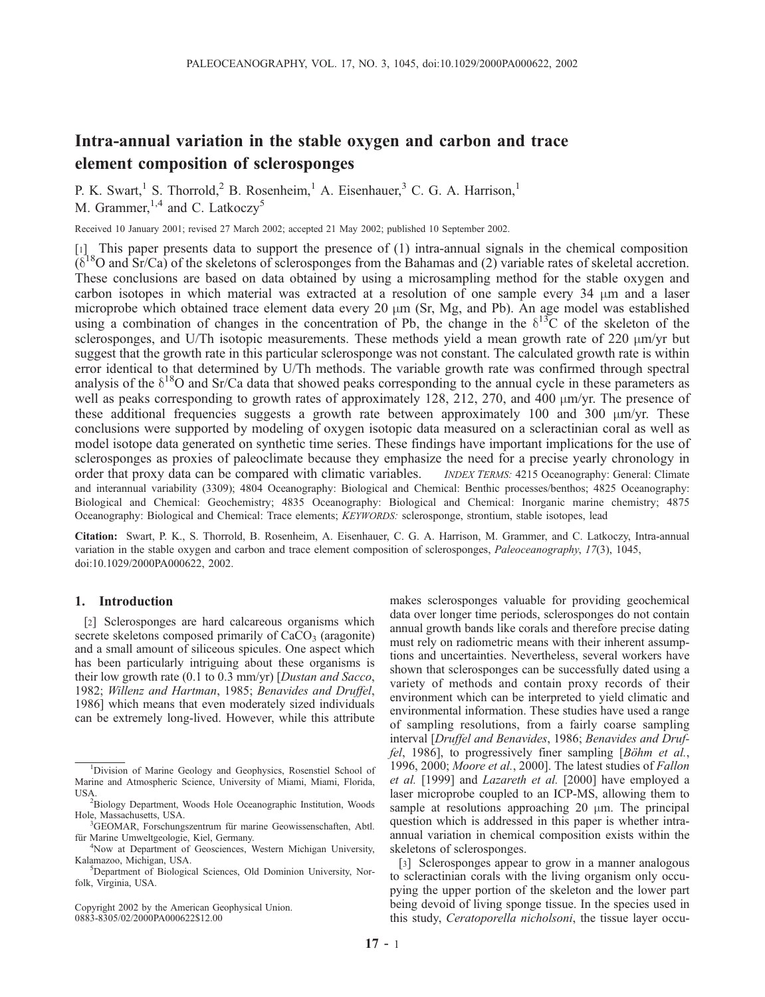# Intra-annual variation in the stable oxygen and carbon and trace element composition of sclerosponges

P. K. Swart,<sup>1</sup> S. Thorrold,<sup>2</sup> B. Rosenheim,<sup>1</sup> A. Eisenhauer,<sup>3</sup> C. G. A. Harrison,<sup>1</sup> M. Grammer, <sup>1,4</sup> and C. Latkoczy<sup>5</sup>

Received 10 January 2001; revised 27 March 2002; accepted 21 May 2002; published 10 September 2002.

[1] This paper presents data to support the presence of (1) intra-annual signals in the chemical composition  $(\delta^{18}O \text{ and } Sr/Ca)$  of the skeletons of sclerosponges from the Bahamas and (2) variable rates of skeletal accretion. These conclusions are based on data obtained by using a microsampling method for the stable oxygen and carbon isotopes in which material was extracted at a resolution of one sample every  $34 \mu m$  and a laser microprobe which obtained trace element data every 20  $\mu$ m (Sr, Mg, and Pb). An age model was established using a combination of changes in the concentration of Pb, the change in the  $\delta^{13}$ C of the skeleton of the sclerosponges, and U/Th isotopic measurements. These methods yield a mean growth rate of 220  $\mu$ m/yr but suggest that the growth rate in this particular sclerosponge was not constant. The calculated growth rate is within error identical to that determined by U/Th methods. The variable growth rate was confirmed through spectral analysis of the  $\delta^{18}$ O and Sr/Ca data that showed peaks corresponding to the annual cycle in these parameters as well as peaks corresponding to growth rates of approximately 128, 212, 270, and 400  $\mu$ m/yr. The presence of these additional frequencies suggests a growth rate between approximately 100 and 300  $\mu$ m/yr. These conclusions were supported by modeling of oxygen isotopic data measured on a scleractinian coral as well as model isotope data generated on synthetic time series. These findings have important implications for the use of sclerosponges as proxies of paleoclimate because they emphasize the need for a precise yearly chronology in order that proxy data can be compared with climatic variables. *INDEX TERMS:* 4215 Oceanography: General: Climate and interannual variability (3309); 4804 Oceanography: Biological and Chemical: Benthic processes/benthos; 4825 Oceanography: Biological and Chemical: Geochemistry; 4835 Oceanography: Biological and Chemical: Inorganic marine chemistry; 4875 Oceanography: Biological and Chemical: Trace elements; KEYWORDS: sclerosponge, strontium, stable isotopes, lead

Citation: Swart, P. K., S. Thorrold, B. Rosenheim, A. Eisenhauer, C. G. A. Harrison, M. Grammer, and C. Latkoczy, Intra-annual variation in the stable oxygen and carbon and trace element composition of sclerosponges, Paleoceanography, 17(3), 1045, doi:10.1029/2000PA000622, 2002.

## 1. Introduction

[2] Sclerosponges are hard calcareous organisms which secrete skeletons composed primarily of  $CaCO<sub>3</sub>$  (aragonite) and a small amount of siliceous spicules. One aspect which has been particularly intriguing about these organisms is their low growth rate (0.1 to 0.3 mm/yr) [Dustan and Sacco, 1982; Willenz and Hartman, 1985; Benavides and Druffel, 1986] which means that even moderately sized individuals can be extremely long-lived. However, while this attribute

Copyright 2002 by the American Geophysical Union. 0883-8305/02/2000PA000622\$12.00

makes sclerosponges valuable for providing geochemical data over longer time periods, sclerosponges do not contain annual growth bands like corals and therefore precise dating must rely on radiometric means with their inherent assumptions and uncertainties. Nevertheless, several workers have shown that sclerosponges can be successfully dated using a variety of methods and contain proxy records of their environment which can be interpreted to yield climatic and environmental information. These studies have used a range of sampling resolutions, from a fairly coarse sampling interval [Druffel and Benavides, 1986; Benavides and Druffel, 1986], to progressively finer sampling [Böhm et al., 1996, 2000; Moore et al., 2000]. The latest studies of Fallon et al. [1999] and Lazareth et al. [2000] have employed a laser microprobe coupled to an ICP-MS, allowing them to sample at resolutions approaching 20  $\mu$ m. The principal question which is addressed in this paper is whether intraannual variation in chemical composition exists within the skeletons of sclerosponges.

[3] Sclerosponges appear to grow in a manner analogous to scleractinian corals with the living organism only occupying the upper portion of the skeleton and the lower part being devoid of living sponge tissue. In the species used in this study, Ceratoporella nicholsoni, the tissue layer occu-

<sup>&</sup>lt;sup>1</sup>Division of Marine Geology and Geophysics, Rosenstiel School of Marine and Atmospheric Science, University of Miami, Miami, Florida, USA.

Biology Department, Woods Hole Oceanographic Institution, Woods Hole, Massachusetts, USA. <sup>3</sup>

<sup>&</sup>lt;sup>3</sup>GEOMAR, Forschungszentrum für marine Geowissenschaften, Abtl. für Marine Umweltgeologie, Kiel, Germany.

<sup>&</sup>lt;sup>4</sup>Now at Department of Geosciences, Western Michigan University, Kalamazoo, Michigan, USA. <sup>5</sup>

<sup>&</sup>lt;sup>5</sup>Department of Biological Sciences, Old Dominion University, Norfolk, Virginia, USA.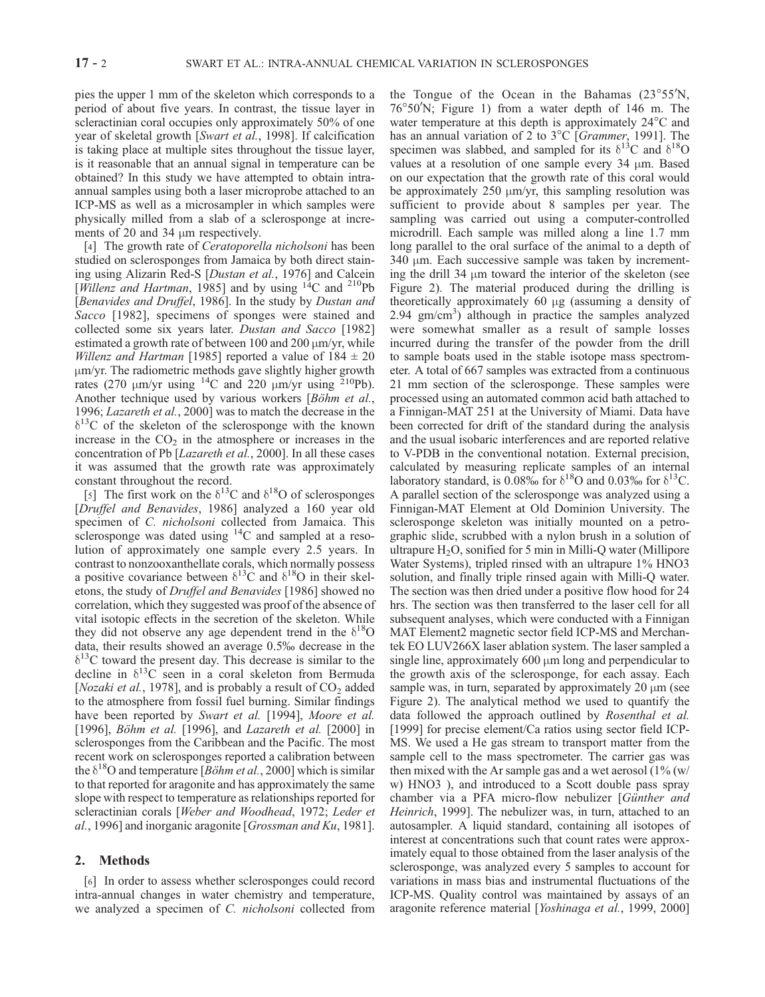pies the upper 1 mm of the skeleton which corresponds to a period of about five years. In contrast, the tissue layer in scleractinian coral occupies only approximately 50% of one year of skeletal growth [Swart et al., 1998]. If calcification is taking place at multiple sites throughout the tissue layer, is it reasonable that an annual signal in temperature can be obtained? In this study we have attempted to obtain intraannual samples using both a laser microprobe attached to an ICP-MS as well as a microsampler in which samples were physically milled from a slab of a sclerosponge at increments of 20 and 34  $\mu$ m respectively.

[4] The growth rate of *Ceratoporella nicholsoni* has been studied on sclerosponges from Jamaica by both direct staining using Alizarin Red-S [Dustan et al., 1976] and Calcein [Willenz and Hartman, 1985] and by using  $14C$  and  $210Pb$ [Benavides and Druffel, 1986]. In the study by Dustan and Sacco [1982], specimens of sponges were stained and collected some six years later. Dustan and Sacco [1982] estimated a growth rate of between 100 and 200  $\mu$ m/yr, while Willenz and Hartman [1985] reported a value of  $184 \pm 20$ mm/yr. The radiometric methods gave slightly higher growth rates (270  $\mu$ m/yr using <sup>14</sup>C and 220  $\mu$ m/yr using <sup>210</sup>Pb). Another technique used by various workers [Böhm et al., 1996; Lazareth et al., 2000] was to match the decrease in the  $\delta^{13}$ C of the skeleton of the sclerosponge with the known increase in the  $CO<sub>2</sub>$  in the atmosphere or increases in the concentration of Pb [Lazareth et al., 2000]. In all these cases it was assumed that the growth rate was approximately constant throughout the record.

[5] The first work on the  $\delta^{13}$ C and  $\delta^{18}$ O of sclerosponges [Druffel and Benavides, 1986] analyzed a 160 year old specimen of C. nicholsoni collected from Jamaica. This sclerosponge was dated using  $^{14}$ C and sampled at a resolution of approximately one sample every 2.5 years. In contrast to nonzooxanthellate corals, which normally possess a positive covariance between  $\delta^{13}$ C and  $\delta^{18}$ O in their skeletons, the study of Druffel and Benavides [1986] showed no correlation, which they suggested was proof of the absence of vital isotopic effects in the secretion of the skeleton. While they did not observe any age dependent trend in the  $\delta^{18}O$ data, their results showed an average 0.5% decrease in the  $\delta^{13}$ C toward the present day. This decrease is similar to the decline in  $\delta^{13}$ C seen in a coral skeleton from Bermuda [*Nozaki et al.*, 1978], and is probably a result of  $CO<sub>2</sub>$  added to the atmosphere from fossil fuel burning. Similar findings have been reported by Swart et al. [1994], Moore et al. [1996], Böhm et al. [1996], and Lazareth et al. [2000] in sclerosponges from the Caribbean and the Pacific. The most recent work on sclerosponges reported a calibration between the  $\delta^{18}$ O and temperature [*Böhm et al.*, 2000] which is similar to that reported for aragonite and has approximately the same slope with respect to temperature as relationships reported for scleractinian corals [Weber and Woodhead, 1972; Leder et al., 1996] and inorganic aragonite [Grossman and Ku, 1981].

# 2. Methods

[6] In order to assess whether sclerosponges could record intra-annual changes in water chemistry and temperature, we analyzed a specimen of C. nicholsoni collected from

the Tongue of the Ocean in the Bahamas  $(23°55'N,$  $76^{\circ}50'$ N; Figure 1) from a water depth of 146 m. The water temperature at this depth is approximately  $24^{\circ}$ C and has an annual variation of 2 to  $3^{\circ}$ C [Grammer, 1991]. The specimen was slabbed, and sampled for its  $\delta^{13}$ C and  $\delta^{18}$ O values at a resolution of one sample every 34 µm. Based on our expectation that the growth rate of this coral would be approximately 250  $\mu$ m/yr, this sampling resolution was sufficient to provide about 8 samples per year. The sampling was carried out using a computer-controlled microdrill. Each sample was milled along a line 1.7 mm long parallel to the oral surface of the animal to a depth of  $340 \mu m$ . Each successive sample was taken by incrementing the drill 34  $\mu$ m toward the interior of the skeleton (see Figure 2). The material produced during the drilling is theoretically approximately 60 mg (assuming a density of 2.94 gm/cm<sup>3</sup>) although in practice the samples analyzed were somewhat smaller as a result of sample losses incurred during the transfer of the powder from the drill to sample boats used in the stable isotope mass spectrometer. A total of 667 samples was extracted from a continuous 21 mm section of the sclerosponge. These samples were processed using an automated common acid bath attached to a Finnigan-MAT 251 at the University of Miami. Data have been corrected for drift of the standard during the analysis and the usual isobaric interferences and are reported relative to V-PDB in the conventional notation. External precision, calculated by measuring replicate samples of an internal laboratory standard, is 0.08% for  $\delta^{18}$ O and 0.03% for  $\delta^{13}$ C. A parallel section of the sclerosponge was analyzed using a Finnigan-MAT Element at Old Dominion University. The sclerosponge skeleton was initially mounted on a petrographic slide, scrubbed with a nylon brush in a solution of ultrapure  $H_2O$ , sonified for 5 min in Milli-Q water (Millipore Water Systems), tripled rinsed with an ultrapure 1% HNO3 solution, and finally triple rinsed again with Milli-Q water. The section was then dried under a positive flow hood for 24 hrs. The section was then transferred to the laser cell for all subsequent analyses, which were conducted with a Finnigan MAT Element2 magnetic sector field ICP-MS and Merchantek EO LUV266X laser ablation system. The laser sampled a single line, approximately  $600 \mu m$  long and perpendicular to the growth axis of the sclerosponge, for each assay. Each sample was, in turn, separated by approximately  $20 \mu m$  (see Figure 2). The analytical method we used to quantify the data followed the approach outlined by Rosenthal et al. [1999] for precise element/Ca ratios using sector field ICP-MS. We used a He gas stream to transport matter from the sample cell to the mass spectrometer. The carrier gas was then mixed with the Ar sample gas and a wet aerosol  $(1\%)(w)$ w) HNO3 ), and introduced to a Scott double pass spray chamber via a PFA micro-flow nebulizer [Günther and Heinrich, 1999]. The nebulizer was, in turn, attached to an autosampler. A liquid standard, containing all isotopes of interest at concentrations such that count rates were approximately equal to those obtained from the laser analysis of the sclerosponge, was analyzed every 5 samples to account for variations in mass bias and instrumental fluctuations of the ICP-MS. Quality control was maintained by assays of an aragonite reference material [Yoshinaga et al., 1999, 2000]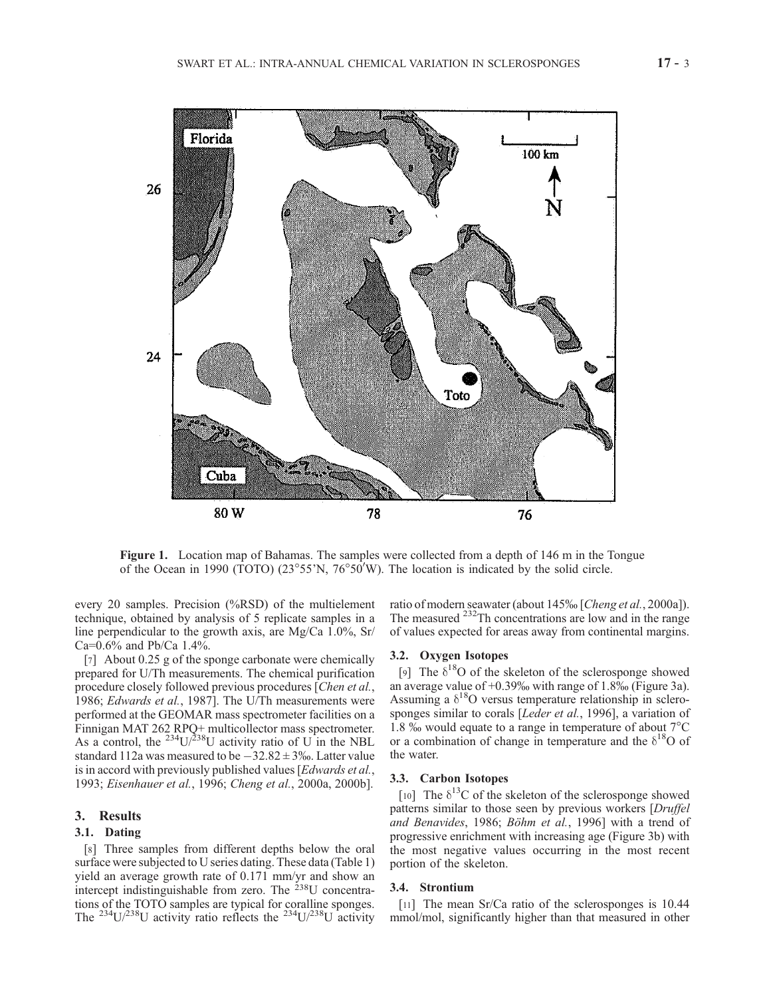

Figure 1. Location map of Bahamas. The samples were collected from a depth of 146 m in the Tongue of the Ocean in 1990 (TOTO) (23°55'N, 76°50<sup>'</sup>W). The location is indicated by the solid circle.

every 20 samples. Precision (%RSD) of the multielement technique, obtained by analysis of 5 replicate samples in a line perpendicular to the growth axis, are Mg/Ca 1.0%, Sr/ Ca=0.6% and Pb/Ca 1.4%.

[7] About 0.25 g of the sponge carbonate were chemically prepared for U/Th measurements. The chemical purification procedure closely followed previous procedures [Chen et al., 1986; Edwards et al., 1987]. The U/Th measurements were performed at the GEOMAR mass spectrometer facilities on a Finnigan MAT 262 RPQ+ multicollector mass spectrometer. As a control, the <sup>234</sup>U/<sup>238</sup>U activity ratio of U in the NBL standard 112a was measured to be  $-32.82 \pm 3 \%$ . Latter value is in accord with previously published values [*Edwards et al.*, 1993; Eisenhauer et al., 1996; Cheng et al., 2000a, 2000b].

# 3. Results

#### 3.1. Dating

[8] Three samples from different depths below the oral surface were subjected to U series dating. These data (Table 1) yield an average growth rate of 0.171 mm/yr and show an intercept indistinguishable from zero. The <sup>238</sup>U concentrations of the TOTO samples are typical for coralline sponges. The  $^{234}U^{238}U$  activity ratio reflects the  $^{234}U^{238}U$  activity ratio of modern seawater (about 145‰ [Cheng et al., 2000a]). The measured  $232$ Th concentrations are low and in the range of values expected for areas away from continental margins.

#### 3.2. Oxygen Isotopes

[9] The  $\delta^{18}$ O of the skeleton of the sclerosponge showed an average value of +0.39% with range of 1.8% (Figure 3a). Assuming a  $\delta^{18}O$  versus temperature relationship in sclerosponges similar to corals [Leder et al., 1996], a variation of 1.8  $\%$  would equate to a range in temperature of about  $7^{\circ}$ C or a combination of change in temperature and the  $\delta^{18}O$  of the water.

### 3.3. Carbon Isotopes

[10] The  $\delta^{13}$ C of the skeleton of the sclerosponge showed patterns similar to those seen by previous workers [Druffel] and Benavides, 1986; Böhm et al., 1996] with a trend of progressive enrichment with increasing age (Figure 3b) with the most negative values occurring in the most recent portion of the skeleton.

# 3.4. Strontium

[11] The mean Sr/Ca ratio of the sclerosponges is 10.44 mmol/mol, significantly higher than that measured in other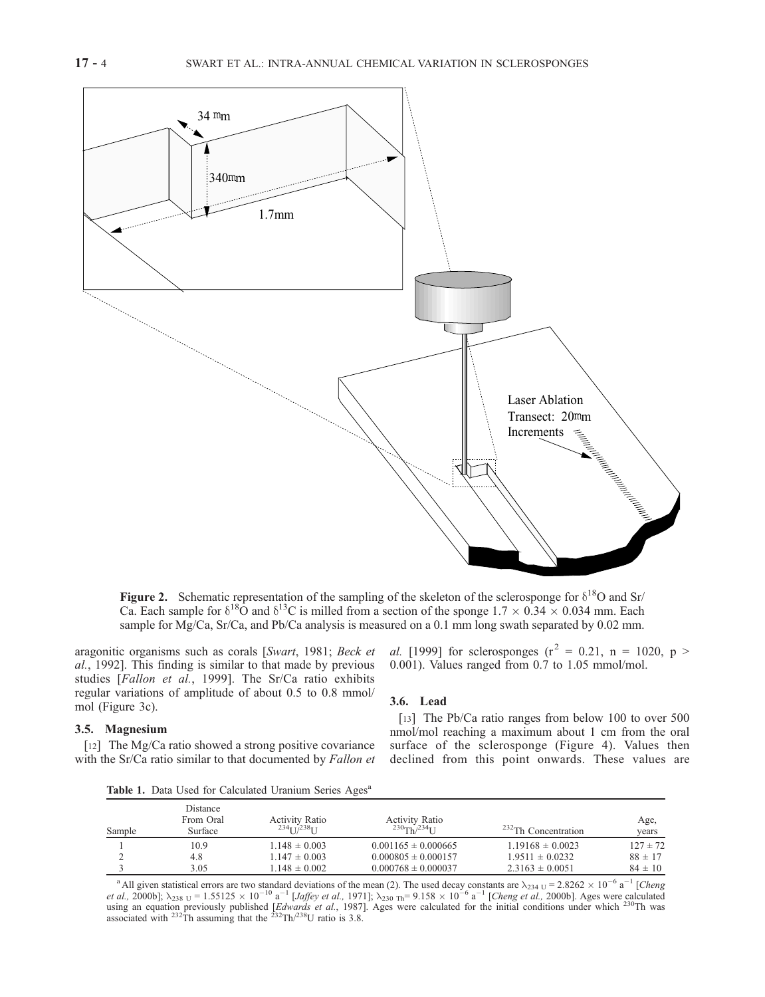

Figure 2. Schematic representation of the sampling of the skeleton of the sclerosponge for  $\delta^{18}O$  and Sr/ Ca. Each sample for  $\delta^{18}$ O and  $\delta^{13}$ C is milled from a section of the sponge 1.7  $\times$  0.34  $\times$  0.034 mm. Each sample for Mg/Ca, Sr/Ca, and Pb/Ca analysis is measured on a 0.1 mm long swath separated by 0.02 mm.

aragonitic organisms such as corals [Swart, 1981; Beck et al., 1992]. This finding is similar to that made by previous studies [Fallon et al., 1999]. The Sr/Ca ratio exhibits regular variations of amplitude of about 0.5 to 0.8 mmol/ mol (Figure 3c).

# 3.5. Magnesium

[12] The Mg/Ca ratio showed a strong positive covariance with the Sr/Ca ratio similar to that documented by Fallon et al. [1999] for sclerosponges ( $r^2 = 0.21$ , n = 1020, p > 0.001). Values ranged from 0.7 to 1.05 mmol/mol.

# 3.6. Lead

[13] The Pb/Ca ratio ranges from below 100 to over 500 nmol/mol reaching a maximum about 1 cm from the oral surface of the sclerosponge (Figure 4). Values then declined from this point onwards. These values are

Table 1. Data Used for Calculated Uranium Series Ages<sup>a</sup>

| Sample | <b>Distance</b><br>From Oral<br>Surface | <b>Activity Ratio</b><br>$234$ <sub>I 1</sub> $238$ <sub>I 1</sub> | <b>Activity Ratio</b><br>$230$ Th $/234$ II | <sup>232</sup> Th Concentration | Age,<br>years |
|--------|-----------------------------------------|--------------------------------------------------------------------|---------------------------------------------|---------------------------------|---------------|
|        | 10.9                                    | $1.148 \pm 0.003$                                                  | $0.001165 \pm 0.000665$                     | $1.19168 \pm 0.0023$            | $127 \pm 72$  |
|        | 4.8                                     | $1.147 \pm 0.003$                                                  | $0.000805 \pm 0.000157$                     | $1.9511 \pm 0.0232$             | $88 \pm 17$   |
|        | 3.05                                    | $1.148 \pm 0.002$                                                  | $0.000768 \pm 0.000037$                     | $2.3163 \pm 0.0051$             | $84 \pm 10$   |

<sup>a</sup> All given statistical errors are two standard deviations of the mean (2). The used decay constants are  $\lambda_{234 \text{ U}} = 2.8262 \times 10^{-6} \text{ a}^{-1}$  [*Cheng*] *et al.*, 2000b];  $\lambda_{238 \text{ U}} = 1.55125 \times 10^{-10} \text{ a}^{-1}$  [*Jaffey et al.*, 1971];  $\lambda_{230 \text{ Th}} = 9.158 \times 10^{-6} \text{ a}^{-1}$  [*Cheng et al.*, 2000b]. Ages were calculated using an equation previously published [Edwards et al., 1987]. Ages were calculated for the initial conditions under which <sup>230</sup>Th was associated with <sup>232</sup>Th assuming that the <sup>232</sup>Th/<sup>238</sup>U ratio is 3.8.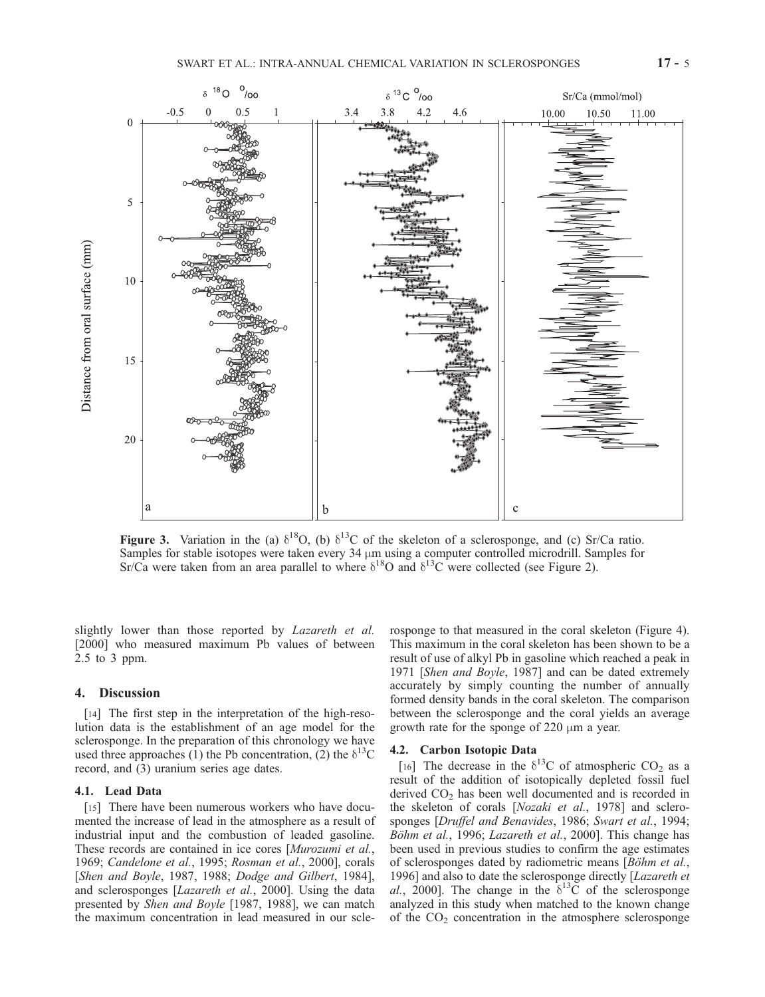$\delta$  <sup>13</sup>C  $\frac{0}{100}$ 





Figure 3. Variation in the (a)  $\delta^{18}O$ , (b)  $\delta^{13}C$  of the skeleton of a sclerosponge, and (c) Sr/Ca ratio. Samples for stable isotopes were taken every 34  $\mu$ m using a computer controlled microdrill. Samples for Sr/Ca were taken from an area parallel to where  $\delta^{18}O$  and  $\delta^{13}C$  were collected (see Figure 2).

slightly lower than those reported by *Lazareth et al.* [2000] who measured maximum Pb values of between 2.5 to 3 ppm.

 $\circ_{/00}$ 

 $\delta$ <sup>18</sup>O

# 4. Discussion

Distance from oral surface (mm)

[14] The first step in the interpretation of the high-resolution data is the establishment of an age model for the sclerosponge. In the preparation of this chronology we have used three approaches (1) the Pb concentration, (2) the  $\delta^{13}$ C record, and (3) uranium series age dates.

# 4.1. Lead Data

[15] There have been numerous workers who have documented the increase of lead in the atmosphere as a result of industrial input and the combustion of leaded gasoline. These records are contained in ice cores [Murozumi et al., 1969; Candelone et al., 1995; Rosman et al., 2000], corals [Shen and Boyle, 1987, 1988; Dodge and Gilbert, 1984], and sclerosponges [Lazareth et al., 2000]. Using the data presented by Shen and Boyle [1987, 1988], we can match the maximum concentration in lead measured in our sclerosponge to that measured in the coral skeleton (Figure 4). This maximum in the coral skeleton has been shown to be a result of use of alkyl Pb in gasoline which reached a peak in 1971 [Shen and Boyle, 1987] and can be dated extremely accurately by simply counting the number of annually formed density bands in the coral skeleton. The comparison between the sclerosponge and the coral yields an average growth rate for the sponge of  $220 \mu m$  a year.

# 4.2. Carbon Isotopic Data

[16] The decrease in the  $\delta^{13}$ C of atmospheric CO<sub>2</sub> as a result of the addition of isotopically depleted fossil fuel derived  $CO<sub>2</sub>$  has been well documented and is recorded in the skeleton of corals [Nozaki et al., 1978] and sclerosponges [Druffel and Benavides, 1986; Swart et al., 1994;  $B\ddot{o}h\ddot{m}$  et al., 1996; Lazareth et al., 2000]. This change has been used in previous studies to confirm the age estimates of sclerosponges dated by radiometric means [Böhm et al., 1996] and also to date the sclerosponge directly [Lazareth et al., 2000]. The change in the  $\delta^{13}$ C of the sclerosponge analyzed in this study when matched to the known change of the  $CO<sub>2</sub>$  concentration in the atmosphere sclerosponge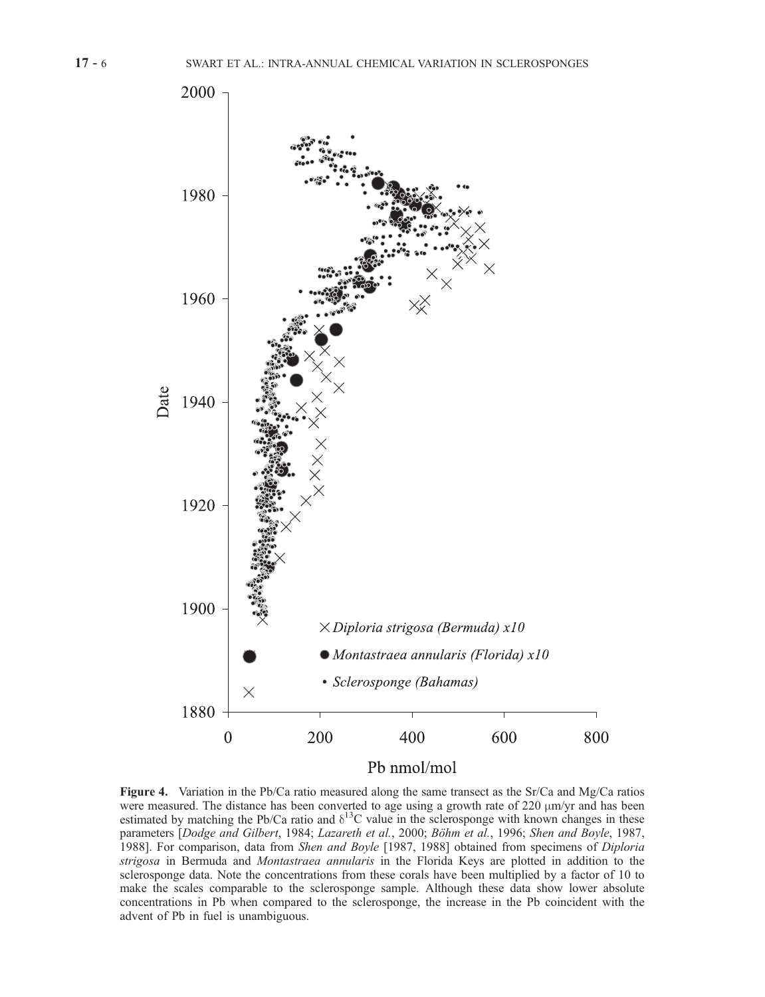

Figure 4. Variation in the Pb/Ca ratio measured along the same transect as the Sr/Ca and Mg/Ca ratios were measured. The distance has been converted to age using a growth rate of 220  $\mu$ m/yr and has been estimated by matching the Pb/Ca ratio and  $\delta^{13}$ C value in the sclerosponge with known changes in these parameters [Dodge and Gilbert, 1984; Lazareth et al., 2000; Böhm et al., 1996; Shen and Boyle, 1987, 1988]. For comparison, data from Shen and Boyle [1987, 1988] obtained from specimens of Diploria strigosa in Bermuda and Montastraea annularis in the Florida Keys are plotted in addition to the sclerosponge data. Note the concentrations from these corals have been multiplied by a factor of 10 to make the scales comparable to the sclerosponge sample. Although these data show lower absolute concentrations in Pb when compared to the sclerosponge, the increase in the Pb coincident with the advent of Pb in fuel is unambiguous.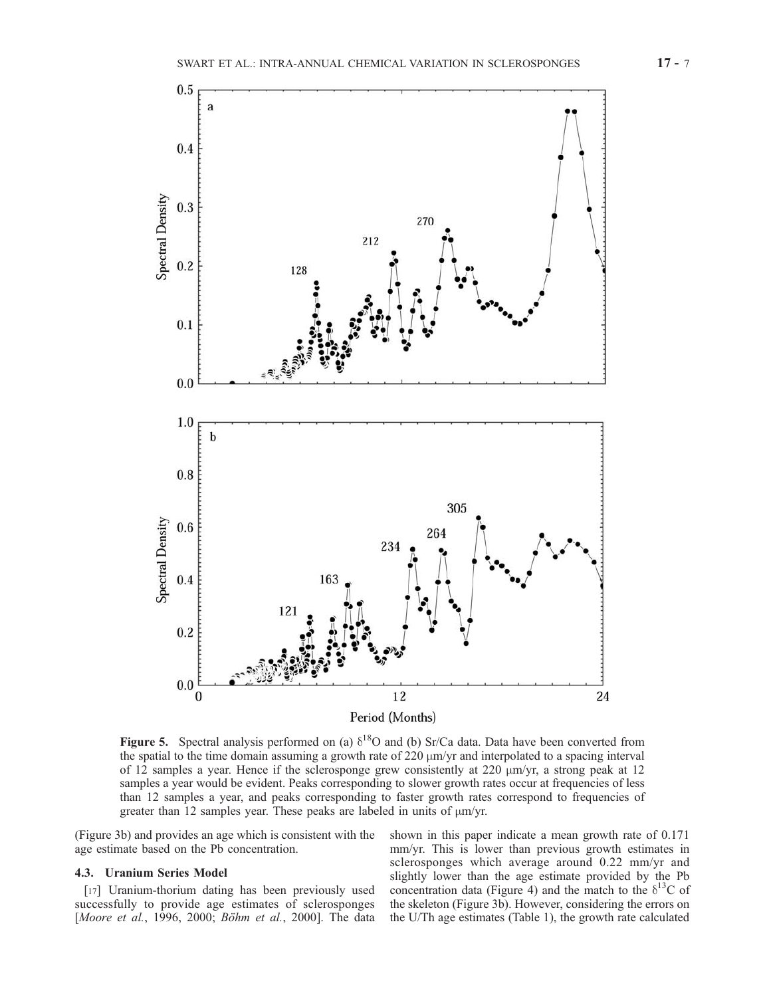

Figure 5. Spectral analysis performed on (a)  $\delta^{18}O$  and (b) Sr/Ca data. Data have been converted from the spatial to the time domain assuming a growth rate of 220  $\mu$ m/yr and interpolated to a spacing interval of 12 samples a year. Hence if the sclerosponge grew consistently at 220  $\mu$ m/yr, a strong peak at 12 samples a year would be evident. Peaks corresponding to slower growth rates occur at frequencies of less than 12 samples a year, and peaks corresponding to faster growth rates correspond to frequencies of greater than 12 samples year. These peaks are labeled in units of  $\mu$ m/yr.

(Figure 3b) and provides an age which is consistent with the age estimate based on the Pb concentration.

#### 4.3. Uranium Series Model

[17] Uranium-thorium dating has been previously used successfully to provide age estimates of sclerosponges [Moore et al., 1996, 2000; Böhm et al., 2000]. The data shown in this paper indicate a mean growth rate of 0.171 mm/yr. This is lower than previous growth estimates in sclerosponges which average around 0.22 mm/yr and slightly lower than the age estimate provided by the Pb concentration data (Figure 4) and the match to the  $\delta^{13}C$  of the skeleton (Figure 3b). However, considering the errors on the U/Th age estimates (Table 1), the growth rate calculated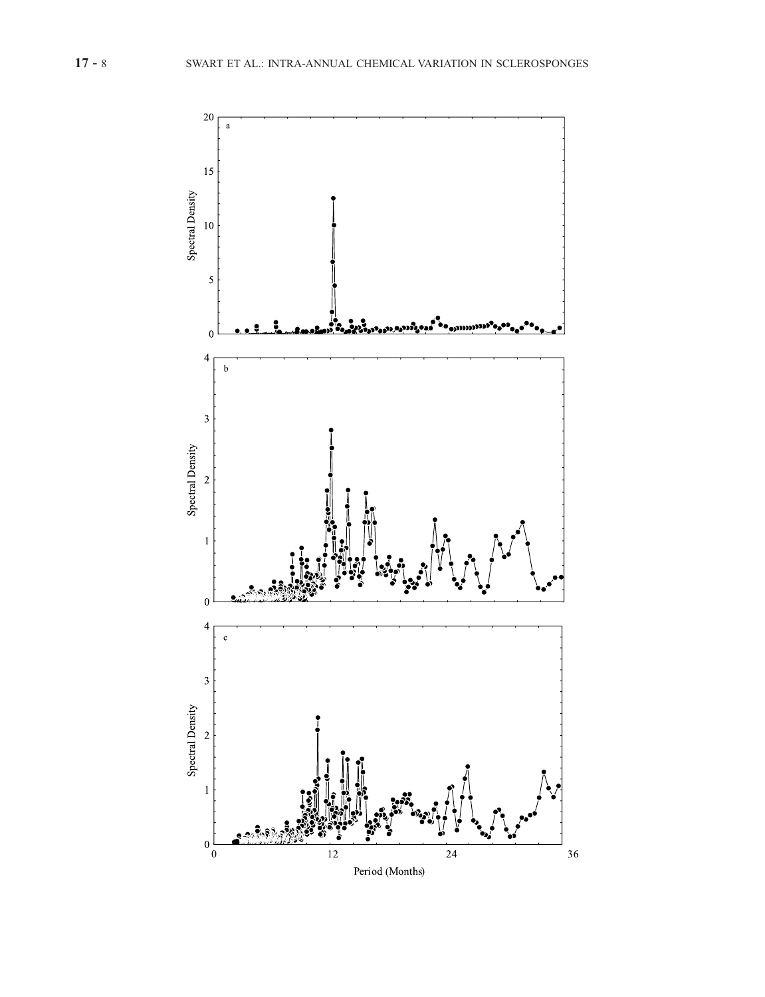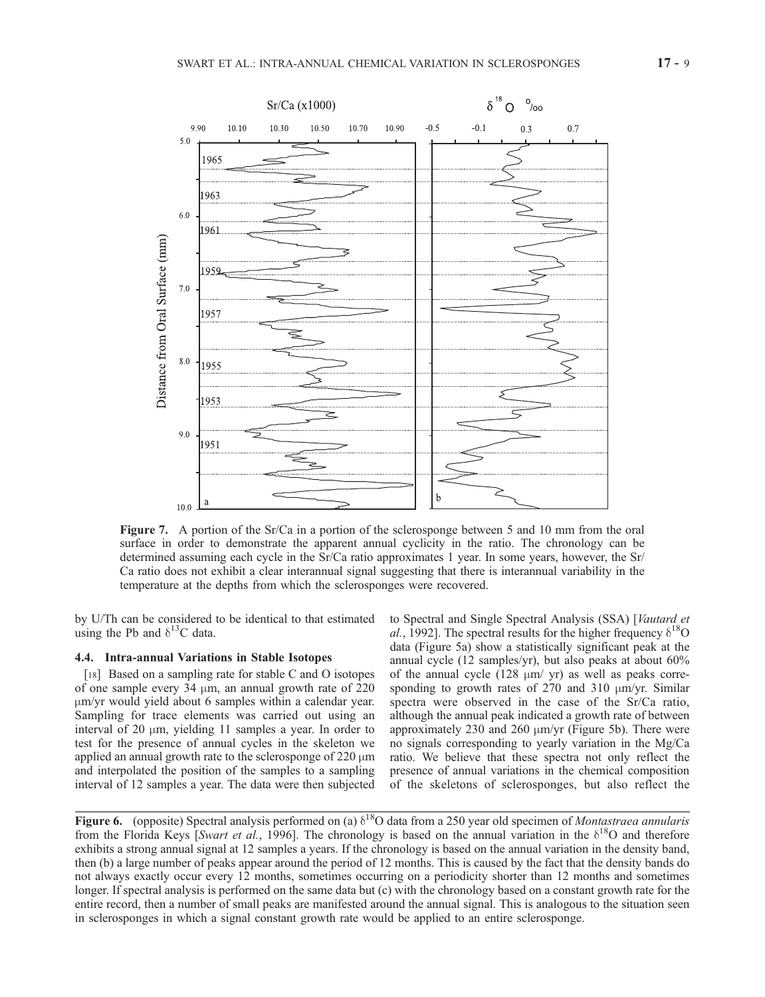

Figure 7. A portion of the Sr/Ca in a portion of the sclerosponge between 5 and 10 mm from the oral surface in order to demonstrate the apparent annual cyclicity in the ratio. The chronology can be determined assuming each cycle in the Sr/Ca ratio approximates 1 year. In some years, however, the Sr/ Ca ratio does not exhibit a clear interannual signal suggesting that there is interannual variability in the temperature at the depths from which the sclerosponges were recovered.

by U/Th can be considered to be identical to that estimated using the Pb and  $\delta^{13}$ C data.

## 4.4. Intra-annual Variations in Stable Isotopes

[18] Based on a sampling rate for stable C and O isotopes of one sample every 34  $\mu$ m, an annual growth rate of 220 mm/yr would yield about 6 samples within a calendar year. Sampling for trace elements was carried out using an interval of 20  $\mu$ m, yielding 11 samples a year. In order to test for the presence of annual cycles in the skeleton we applied an annual growth rate to the sclerosponge of  $220 \mu m$ and interpolated the position of the samples to a sampling interval of 12 samples a year. The data were then subjected

to Spectral and Single Spectral Analysis (SSA) [Vautard et al., 1992]. The spectral results for the higher frequency  $\delta^{18}O$ data (Figure 5a) show a statistically significant peak at the annual cycle (12 samples/yr), but also peaks at about 60% of the annual cycle (128  $\mu$ m/ yr) as well as peaks corresponding to growth rates of  $270$  and  $310 \mu m/yr$ . Similar spectra were observed in the case of the Sr/Ca ratio, although the annual peak indicated a growth rate of between approximately 230 and 260  $\mu$ m/yr (Figure 5b). There were no signals corresponding to yearly variation in the Mg/Ca ratio. We believe that these spectra not only reflect the presence of annual variations in the chemical composition of the skeletons of sclerosponges, but also reflect the

Figure 6. (opposite) Spectral analysis performed on (a)  $\delta^{18}O$  data from a 250 year old specimen of *Montastraea annularis* from the Florida Keys [Swart et al., 1996]. The chronology is based on the annual variation in the  $\delta^{18}O$  and therefore exhibits a strong annual signal at 12 samples a years. If the chronology is based on the annual variation in the density band, then (b) a large number of peaks appear around the period of 12 months. This is caused by the fact that the density bands do not always exactly occur every 12 months, sometimes occurring on a periodicity shorter than 12 months and sometimes longer. If spectral analysis is performed on the same data but (c) with the chronology based on a constant growth rate for the entire record, then a number of small peaks are manifested around the annual signal. This is analogous to the situation seen in sclerosponges in which a signal constant growth rate would be applied to an entire sclerosponge.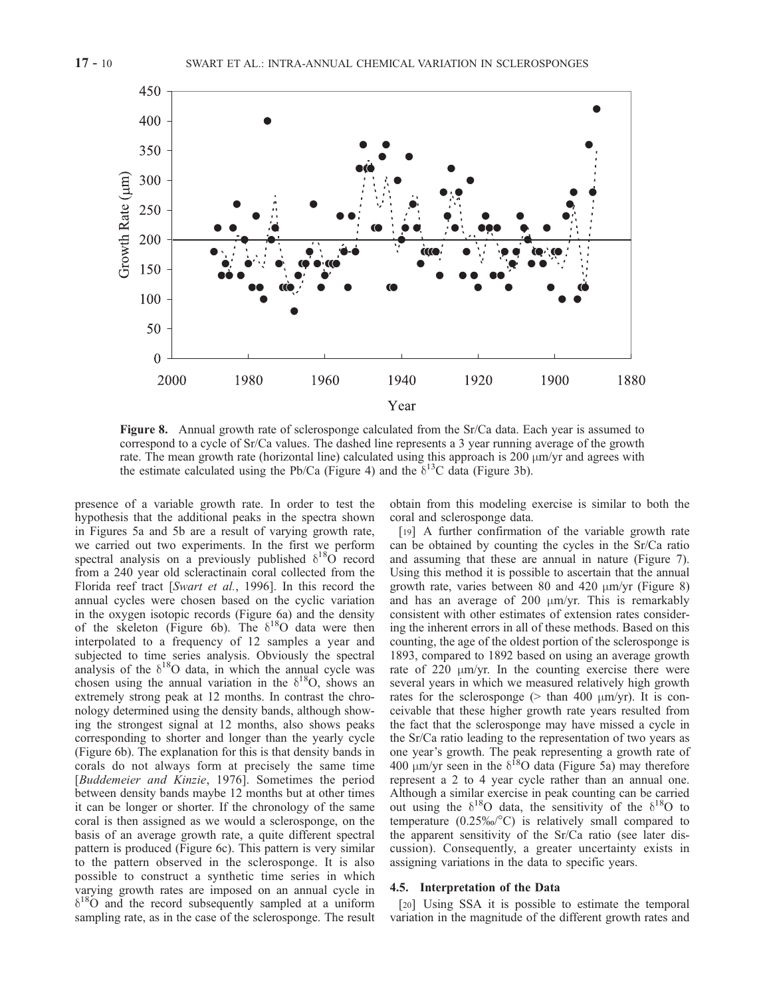

Figure 8. Annual growth rate of sclerosponge calculated from the Sr/Ca data. Each year is assumed to correspond to a cycle of Sr/Ca values. The dashed line represents a 3 year running average of the growth rate. The mean growth rate (horizontal line) calculated using this approach is 200  $\mu$ m/yr and agrees with the estimate calculated using the Pb/Ca (Figure 4) and the  $\delta^{13}$ C data (Figure 3b).

presence of a variable growth rate. In order to test the hypothesis that the additional peaks in the spectra shown in Figures 5a and 5b are a result of varying growth rate, we carried out two experiments. In the first we perform spectral analysis on a previously published  $\delta^{18}$ O record from a 240 year old scleractinain coral collected from the Florida reef tract [Swart et al., 1996]. In this record the annual cycles were chosen based on the cyclic variation in the oxygen isotopic records (Figure 6a) and the density of the skeleton (Figure 6b). The  $\delta^{18}$ O data were then interpolated to a frequency of 12 samples a year and subjected to time series analysis. Obviously the spectral analysis of the  $\delta^{18}O$  data, in which the annual cycle was chosen using the annual variation in the  $\delta^{18}O$ , shows an extremely strong peak at 12 months. In contrast the chronology determined using the density bands, although showing the strongest signal at 12 months, also shows peaks corresponding to shorter and longer than the yearly cycle (Figure 6b). The explanation for this is that density bands in corals do not always form at precisely the same time [Buddemeier and Kinzie, 1976]. Sometimes the period between density bands maybe 12 months but at other times it can be longer or shorter. If the chronology of the same coral is then assigned as we would a sclerosponge, on the basis of an average growth rate, a quite different spectral pattern is produced (Figure 6c). This pattern is very similar to the pattern observed in the sclerosponge. It is also possible to construct a synthetic time series in which varying growth rates are imposed on an annual cycle in  $\delta^{18}$ O and the record subsequently sampled at a uniform sampling rate, as in the case of the sclerosponge. The result

obtain from this modeling exercise is similar to both the coral and sclerosponge data.

[19] A further confirmation of the variable growth rate can be obtained by counting the cycles in the Sr/Ca ratio and assuming that these are annual in nature (Figure 7). Using this method it is possible to ascertain that the annual growth rate, varies between 80 and 420  $\mu$ m/yr (Figure 8) and has an average of 200  $\mu$ m/yr. This is remarkably consistent with other estimates of extension rates considering the inherent errors in all of these methods. Based on this counting, the age of the oldest portion of the sclerosponge is 1893, compared to 1892 based on using an average growth rate of  $220 \mu m/yr$ . In the counting exercise there were several years in which we measured relatively high growth rates for the sclerosponge ( $>$  than 400  $\mu$ m/yr). It is conceivable that these higher growth rate years resulted from the fact that the sclerosponge may have missed a cycle in the Sr/Ca ratio leading to the representation of two years as one year's growth. The peak representing a growth rate of 400  $\mu$ m/yr seen in the  $\delta^{18}$ O data (Figure 5a) may therefore represent a 2 to 4 year cycle rather than an annual one. Although a similar exercise in peak counting can be carried out using the  $\delta^{18}O$  data, the sensitivity of the  $\delta^{18}O$  to temperature  $(0.25\%/(C))$  is relatively small compared to the apparent sensitivity of the Sr/Ca ratio (see later discussion). Consequently, a greater uncertainty exists in assigning variations in the data to specific years.

#### 4.5. Interpretation of the Data

[20] Using SSA it is possible to estimate the temporal variation in the magnitude of the different growth rates and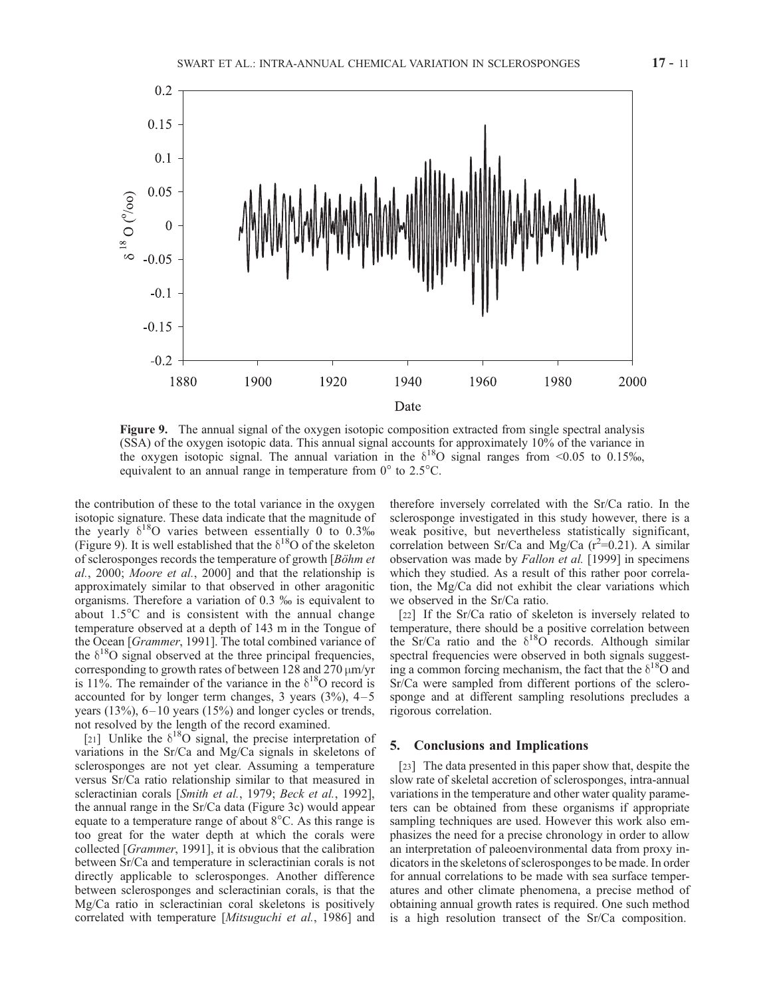

Figure 9. The annual signal of the oxygen isotopic composition extracted from single spectral analysis (SSA) of the oxygen isotopic data. This annual signal accounts for approximately 10% of the variance in the oxygen isotopic signal. The annual variation in the  $\delta^{18}O$  signal ranges from <0.05 to 0.15‰, equivalent to an annual range in temperature from  $0^{\circ}$  to 2.5°C.

the contribution of these to the total variance in the oxygen isotopic signature. These data indicate that the magnitude of the yearly  $\delta^{18}$ O varies between essentially 0 to 0.3% (Figure 9). It is well established that the  $\delta^{18}O$  of the skeleton of sclerosponges records the temperature of growth  $[B\ddot{o}hm$  et al., 2000; Moore et al., 2000] and that the relationship is approximately similar to that observed in other aragonitic organisms. Therefore a variation of  $0.3\%$  is equivalent to about  $1.5^{\circ}$ C and is consistent with the annual change temperature observed at a depth of 143 m in the Tongue of the Ocean [Grammer, 1991]. The total combined variance of the  $\delta^{18}$ O signal observed at the three principal frequencies, corresponding to growth rates of between 128 and 270  $\mu$ m/yr is 11%. The remainder of the variance in the  $\delta^{18}O$  record is accounted for by longer term changes, 3 years  $(3\%)$ ,  $4-5$ years  $(13\%)$ ,  $6-10$  years  $(15\%)$  and longer cycles or trends, not resolved by the length of the record examined.

[21] Unlike the  $\delta^{18}O$  signal, the precise interpretation of variations in the Sr/Ca and Mg/Ca signals in skeletons of sclerosponges are not yet clear. Assuming a temperature versus Sr/Ca ratio relationship similar to that measured in scleractinian corals [Smith et al., 1979; Beck et al., 1992], the annual range in the Sr/Ca data (Figure 3c) would appear equate to a temperature range of about  $8^{\circ}$ C. As this range is too great for the water depth at which the corals were collected [Grammer, 1991], it is obvious that the calibration between Sr/Ca and temperature in scleractinian corals is not directly applicable to sclerosponges. Another difference between sclerosponges and scleractinian corals, is that the Mg/Ca ratio in scleractinian coral skeletons is positively correlated with temperature [Mitsuguchi et al., 1986] and

therefore inversely correlated with the Sr/Ca ratio. In the sclerosponge investigated in this study however, there is a weak positive, but nevertheless statistically significant, correlation between Sr/Ca and Mg/Ca  $(r^2=0.21)$ . A similar observation was made by Fallon et al. [1999] in specimens which they studied. As a result of this rather poor correlation, the Mg/Ca did not exhibit the clear variations which we observed in the Sr/Ca ratio.

[22] If the Sr/Ca ratio of skeleton is inversely related to temperature, there should be a positive correlation between the Sr/Ca ratio and the  $\delta^{18}$ O records. Although similar spectral frequencies were observed in both signals suggesting a common forcing mechanism, the fact that the  $\delta^{18}$ O and Sr/Ca were sampled from different portions of the sclerosponge and at different sampling resolutions precludes a rigorous correlation.

# 5. Conclusions and Implications

[23] The data presented in this paper show that, despite the slow rate of skeletal accretion of sclerosponges, intra-annual variations in the temperature and other water quality parameters can be obtained from these organisms if appropriate sampling techniques are used. However this work also emphasizes the need for a precise chronology in order to allow an interpretation of paleoenvironmental data from proxy indicators in the skeletons of sclerosponges to be made. In order for annual correlations to be made with sea surface temperatures and other climate phenomena, a precise method of obtaining annual growth rates is required. One such method is a high resolution transect of the Sr/Ca composition.